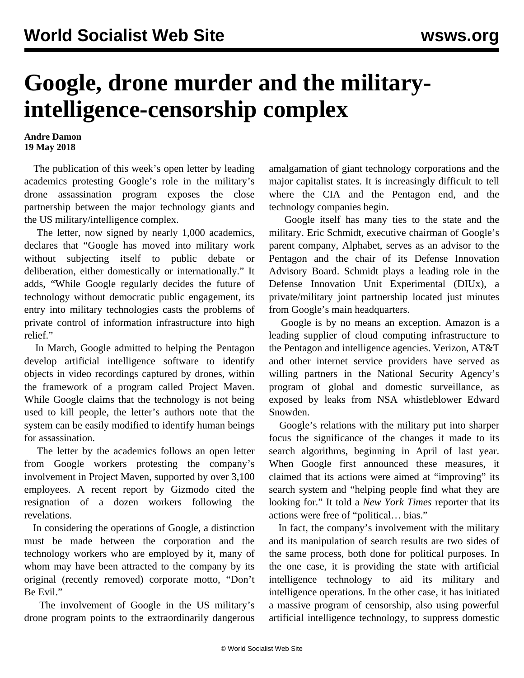## **Google, drone murder and the militaryintelligence-censorship complex**

## **Andre Damon 19 May 2018**

 The publication of this week's open letter by leading academics protesting Google's role in the military's drone assassination program exposes the close partnership between the major technology giants and the US military/intelligence complex.

 The [letter](https://www.icrac.net/open-letter-in-support-of-google-employees-and-tech-workers/), now signed by nearly 1,000 academics, declares that "Google has moved into military work without subjecting itself to public debate or deliberation, either domestically or internationally." It adds, "While Google regularly decides the future of technology without democratic public engagement, its entry into military technologies casts the problems of private control of information infrastructure into high relief."

 In March, Google admitted to helping the Pentagon develop artificial intelligence software to identify objects in video recordings captured by drones, within the framework of a program called Project Maven. While Google claims that the technology is not being used to kill people, the letter's authors note that the system can be easily modified to identify human beings for assassination.

 The letter by the academics follows an open letter from Google workers protesting the company's involvement in Project Maven, supported by over 3,100 employees. A recent report by Gizmodo cited the resignation of a dozen workers following the revelations.

 In considering the operations of Google, a distinction must be made between the corporation and the technology workers who are employed by it, many of whom may have been attracted to the company by its original (recently removed) corporate motto, "Don't Be Evil."

 The involvement of Google in the US military's drone program points to the extraordinarily dangerous amalgamation of giant technology corporations and the major capitalist states. It is increasingly difficult to tell where the CIA and the Pentagon end, and the technology companies begin.

 Google itself has many ties to the state and the military. Eric Schmidt, executive chairman of Google's parent company, Alphabet, serves as an advisor to the Pentagon and the chair of its Defense Innovation Advisory Board. Schmidt plays a leading role in the Defense Innovation Unit Experimental (DIUx), a private/military joint partnership located just minutes from Google's main headquarters.

 Google is by no means an exception. Amazon is a leading supplier of cloud computing infrastructure to the Pentagon and intelligence agencies. Verizon, AT&T and other internet service providers have served as willing partners in the National Security Agency's program of global and domestic surveillance, as exposed by leaks from NSA whistleblower Edward Snowden.

 Google's relations with the military put into sharper focus the significance of the changes it made to its search algorithms, beginning in April of last year. When Google first announced these measures, it claimed that its actions were aimed at "improving" its search system and "helping people find what they are looking for." It told a *New York Times* reporter that its actions were free of "political… bias."

 In fact, the company's involvement with the military and its manipulation of search results are two sides of the same process, both done for political purposes. In the one case, it is providing the state with artificial intelligence technology to aid its military and intelligence operations. In the other case, it has initiated a massive program of censorship, also using powerful artificial intelligence technology, to suppress domestic